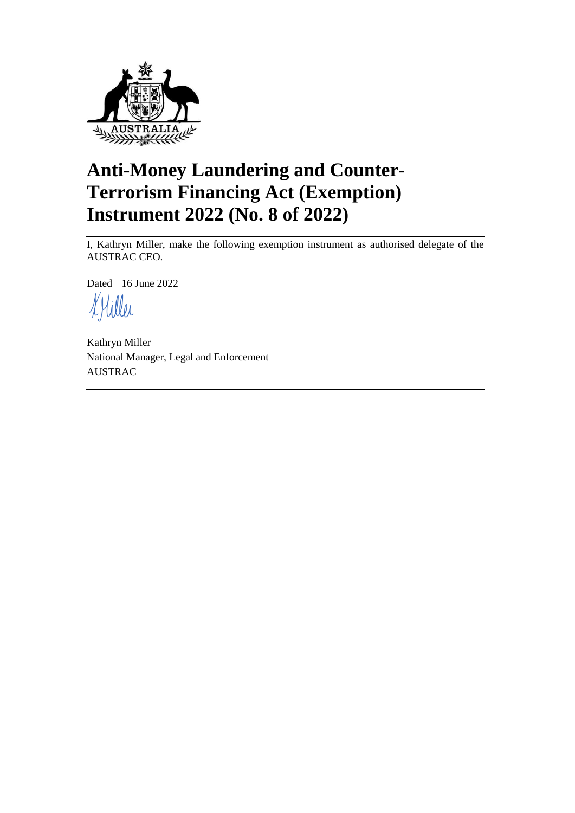

# **Anti-Money Laundering and Counter-Terrorism Financing Act (Exemption) Instrument 2022 (No. 8 of 2022)**

I, Kathryn Miller, make the following exemption instrument as authorised delegate of the AUSTRAC CEO.

Dated 16 June 2022

Kathryn Miller National Manager, Legal and Enforcement AUSTRAC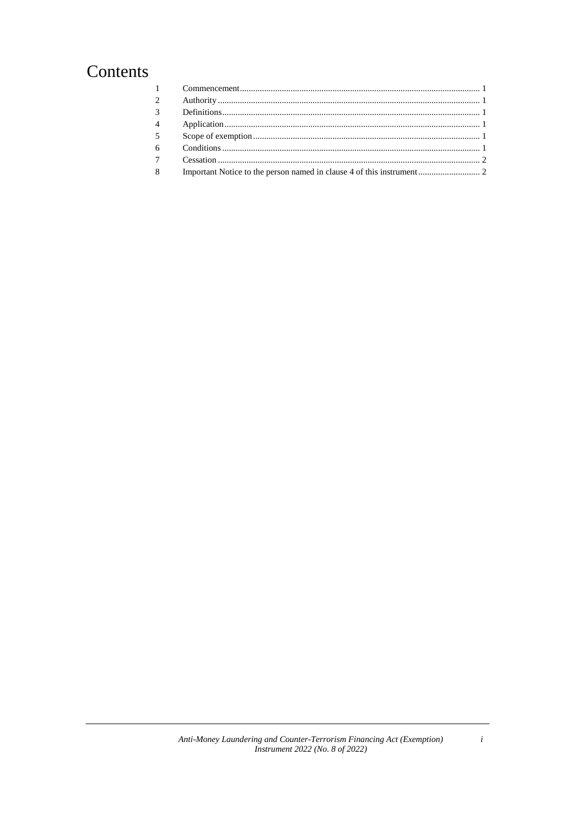# Contents

| 2              |  |
|----------------|--|
| $3^{\circ}$    |  |
| $\overline{4}$ |  |
| 5 <sup>5</sup> |  |
| 6 <sup>6</sup> |  |
| 7 <sup>7</sup> |  |
|                |  |
| 8              |  |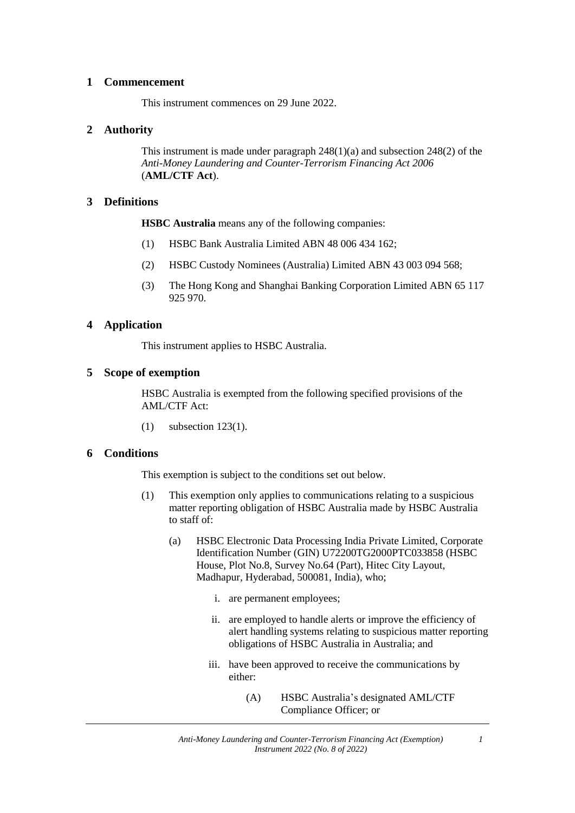#### **1 Commencement**

This instrument commences on 29 June 2022.

# **2 Authority**

This instrument is made under paragraph 248(1)(a) and subsection 248(2) of the *Anti-Money Laundering and Counter-Terrorism Financing Act 2006*  (**AML/CTF Act**).

# **3 Definitions**

**HSBC Australia** means any of the following companies:

- (1) HSBC Bank Australia Limited ABN 48 006 434 162;
- (2) HSBC Custody Nominees (Australia) Limited ABN 43 003 094 568;
- (3) The Hong Kong and Shanghai Banking Corporation Limited ABN 65 117 925 970.

# **4 Application**

This instrument applies to HSBC Australia.

# **5 Scope of exemption**

HSBC Australia is exempted from the following specified provisions of the AML/CTF Act:

(1) subsection 123(1).

# **6 Conditions**

This exemption is subject to the conditions set out below.

- (1) This exemption only applies to communications relating to a suspicious matter reporting obligation of HSBC Australia made by HSBC Australia to staff of:
	- (a) HSBC Electronic Data Processing India Private Limited, Corporate Identification Number (GIN) U72200TG2000PTC033858 (HSBC House, Plot No.8, Survey No.64 (Part), Hitec City Layout, Madhapur, Hyderabad, 500081, India), who;
		- i. are permanent employees;
		- ii. are employed to handle alerts or improve the efficiency of alert handling systems relating to suspicious matter reporting obligations of HSBC Australia in Australia; and
		- iii. have been approved to receive the communications by either:
			- (A) HSBC Australia's designated AML/CTF Compliance Officer; or